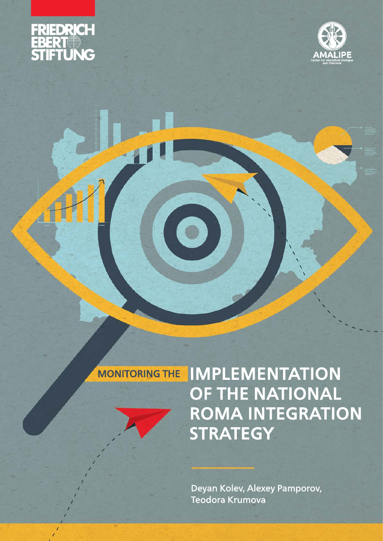



## MONITORING THE IMPLEMENTATION OF THE NATIONAL ROMA INTEGRATION **STRATEGY**

Deyan Kolev, Alexey Pamporov, Teodora Krumova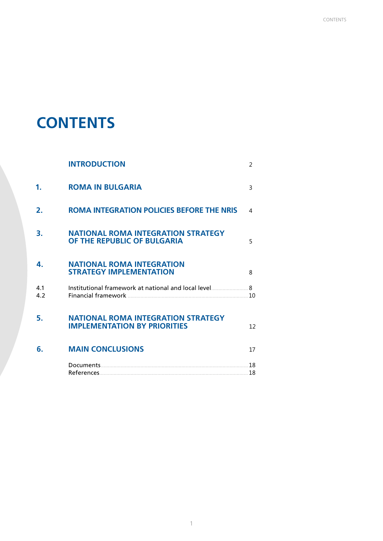## **CONTENTS**

|                | <b>INTRODUCTION</b>                                                              | 2  |
|----------------|----------------------------------------------------------------------------------|----|
| 1.             | <b>ROMA IN BULGARIA</b>                                                          | 3  |
| $\mathbf{2}$ . | <b>ROMA INTEGRATION POLICIES BEFORE THE NRIS</b>                                 | 4  |
| З.             | <b>NATIONAL ROMA INTEGRATION STRATEGY</b><br>OF THE REPUBLIC OF BULGARIA         | 5  |
| 4.             | <b>NATIONAL ROMA INTEGRATION</b><br><b>STRATEGY IMPLEMENTATION</b>               | 8  |
| 4.1<br>4.2     | Institutional framework at national and local level 8                            |    |
| 5.             | <b>NATIONAL ROMA INTEGRATION STRATEGY</b><br><b>IMPLEMENTATION BY PRIORITIES</b> | 12 |
| 6.             | <b>MAIN CONCLUSIONS</b>                                                          | 17 |
|                |                                                                                  |    |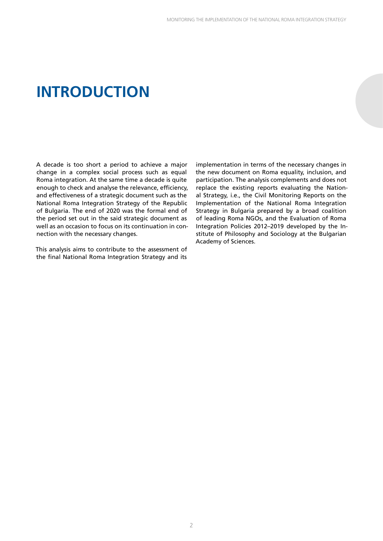## **INTRODUCTION**

A decade is too short a period to achieve a major change in a complex social process such as equal Roma integration. At the same time a decade is quite enough to check and analyse the relevance, efficiency, and effectiveness of a strategic document such as the National Roma Integration Strategy of the Republic of Bulgaria. The end of 2020 was the formal end of the period set out in the said strategic document as well as an occasion to focus on its continuation in connection with the necessary changes.

This analysis aims to contribute to the assessment of the final National Roma Integration Strategy and its

implementation in terms of the necessary changes in the new document on Roma equality, inclusion, and participation. The analysis complements and does not replace the existing reports evaluating the National Strategy, i.e., the Civil Monitoring Reports on the Implementation of the National Roma Integration Strategy in Bulgaria prepared by a broad coalition of leading Roma NGOs, and the Evaluation of Roma Integration Policies 2012–2019 developed by the Institute of Philosophy and Sociology at the Bulgarian Academy of Sciences.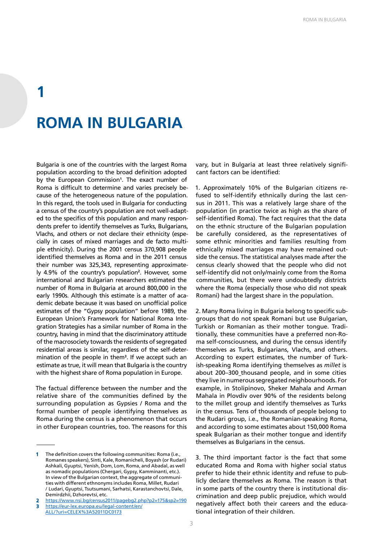# **1 ROMA IN BULGARIA**

Bulgaria is one of the countries with the largest Roma population according to the broad definition adopted by the European Commission**<sup>1</sup>** . The exact number of Roma is difficult to determine and varies precisely because of the heterogeneous nature of the population. In this regard, the tools used in Bulgaria for conducting a census of the country's population are not well-adapted to the specifics of this population and many respondents prefer to identify themselves as Turks, Bulgarians, Vlachs, and others or not declare their ethnicity (especially in cases of mixed marriages and de facto multiple ethnicity). During the 2001 census 370,908 people identified themselves as Roma and in the 2011 census their number was 325,343, representing approximately 4.9% of the country's population**<sup>2</sup>** . However, some international and Bulgarian researchers estimated the number of Roma in Bulgaria at around 800,000 in the early 1990s. Although this estimate is a matter of academic debate because it was based on unofficial police estimates of the "Gypsy population" before 1989, the European Union's Framework for National Roma Integration Strategies has a similar number of Roma in the country, having in mind that the discriminatory attitude of the macrosociety towards the residents of segregated residential areas is similar, regardless of the self-determination of the people in them**<sup>3</sup>** . If we accept such an estimate as true, it will mean that Bulgaria is the country with the highest share of Roma population in Europe.

The factual difference between the number and the relative share of the communities defined by the surrounding population as Gypsies / Roma and the formal number of people identifying themselves as Roma during the census is a phenomenon that occurs in other European countries, too. The reasons for this vary, but in Bulgaria at least three relatively significant factors can be identified:

1. Approximately 10% of the Bulgarian citizens refused to self-identify ethnically during the last census in 2011. This was a relatively large share of the population (in practice twice as high as the share of self-identified Roma). The fact requires that the data on the ethnic structure of the Bulgarian population be carefully considered, as the representatives of some ethnic minorities and families resulting from ethnically mixed marriages may have remained outside the census. The statistical analyses made after the census clearly showed that the people who did not self-identify did not only/mainly come from the Roma communities, but there were undoubtedly districts where the Roma (especially those who did not speak Romani) had the largest share in the population.

2. Many Roma living in Bulgaria belong to specific subgroups that do not speak Romani but use Bulgarian, Turkish or Romanian as their mother tongue. Traditionally, these communities have a preferred non-Roma self-consciousness, and during the census identify themselves as Turks, Bulgarians, Vlachs, and others. According to expert estimates, the number of Turkish-speaking Roma identifying themselves as *millet* is about 200-300\_thousand people, and in some cities they live in numerous segregated neighbourhoods. For example, in Stolipinovo, Sheker Mahala and Arman Mahala in Plovdiv over 90% of the residents belong to the millet group and identify themselves as Turks in the census. Tens of thousands of people belong to the Rudari group, i.e., the Romanian-speaking Roma, and according to some estimates about 150,000 Roma speak Bulgarian as their mother tongue and identify themselves as Bulgarians in the census.

3. The third important factor is the fact that some educated Roma and Roma with higher social status prefer to hide their ethnic identity and refuse to publicly declare themselves as Roma. The reason is that in some parts of the country there is institutional discrimination and deep public prejudice, which would negatively affect both their careers and the educational integration of their children.

The definition covers the following communities: Roma (i.e., Romanes speakers), Sinti, Kale, Romanicheli, Boyash (or Rudari) Ashkali, Gyuptsi, Yenish, Dom, Lom, Roma, and Abadal, as well as nomadic populations (Chergari, Gypsy, Kamminanti, etc.). In view of the Bulgarian context, the aggregate of communities with different ethnonyms includes Roma, Millet, Rudari / Ludari, Gyuptsi, Tsutsumani, Sarhatsi, Karastanchovtsi, Dale, Demirdzhii, Dzhorevtsi, etc.

<https://www.nsi.bg/census2011/pagebg2.php?p2=175&sp2=190> 3 [https://eur-lex.europa.eu/legal-content/en/](https://eur-lex.europa.eu/legal-content/en/ALL/?uri=CELEX%3A52011DC0173)

[ALL/?uri=CELEX%3A52011DC0173](https://eur-lex.europa.eu/legal-content/en/ALL/?uri=CELEX%3A52011DC0173)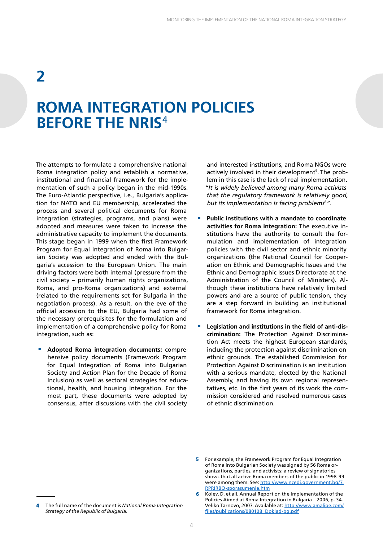### **ROMA INTEGRATION POLICIES BEFORE THE NRIS**<sup>4</sup>

The attempts to formulate a comprehensive national Roma integration policy and establish a normative, institutional and financial framework for the implementation of such a policy began in the mid-1990s. The Euro-Atlantic perspective, i.e., Bulgaria's application for NATO and EU membership, accelerated the process and several political documents for Roma integration (strategies, programs, and plans) were adopted and measures were taken to increase the administrative capacity to implement the documents. This stage began in 1999 when the first Framework Program for Equal Integration of Roma into Bulgarian Society was adopted and ended with the Bulgaria's accession to the European Union. The main driving factors were both internal (pressure from the civil society – primarily human rights organizations, Roma, and pro-Roma organizations) and external (related to the requirements set for Bulgaria in the negotiation process). As a result, on the eve of the official accession to the EU, Bulgaria had some of the necessary prerequisites for the formulation and implementation of a comprehensive policy for Roma integration, such as:

■ **Adopted Roma integration documents:** comprehensive policy documents (Framework Program for Equal Integration of Roma into Bulgarian Society and Action Plan for the Decade of Roma Inclusion) as well as sectoral strategies for educational, health, and housing integration. For the most part, these documents were adopted by consensus, after discussions with the civil society

and interested institutions, and Roma NGOs were actively involved in their development**<sup>5</sup>** . The problem in this case is the lack of real implementation. *"It is widely believed among many Roma activists that the regulatory framework is relatively good, but its implementation is facing problems***<sup>6</sup>** *"*.

- **Public institutions with a mandate to coordinate activities for Roma integration:** The executive institutions have the authority to consult the formulation and implementation of integration policies with the civil sector and ethnic minority organizations (the National Council for Cooperation on Ethnic and Demographic Issues and the Ethnic and Demographic Issues Directorate at the Administration of the Council of Ministers). Although these institutions have relatively limited powers and are a source of public tension, they are a step forward in building an institutional framework for Roma integration.
- Legislation and institutions in the field of anti-dis**crimination:** The Protection Against Discrimination Act meets the highest European standards, including the protection against discrimination on ethnic grounds. The established Commission for Protection Against Discrimination is an institution with a serious mandate, elected by the National Assembly, and having its own regional representatives, etc. In the first years of its work the commission considered and resolved numerous cases of ethnic discrimination.

<sup>5</sup> For example, the Framework Program for Equal Integration of Roma into Bulgarian Society was signed by 56 Roma organizations, parties, and activists: a review of signatories shows that all active Roma members of the public in 1998-99 were among them. See: [http://www.ncedi.government.bg/7.](http://www.ncedi.government.bg/7.RPRIRBO-sporasumenie.htm) [RPRIRBO-sporasumenie.htm](http://www.ncedi.government.bg/7.RPRIRBO-sporasumenie.htm)

Kolev, D. et all. Annual Report on the Implementation of the Policies Aimed at Roma Integration in Bulgaria – 2006, p. 34. Veliko Tarnovo, 2007. Available at: [http://www.amalipe.com/](http://www.amalipe.com/files/publications/080108_Doklad-bg.pdf) [files/publications/080108\\_Doklad-bg.pdf](http://www.amalipe.com/files/publications/080108_Doklad-bg.pdf)

<sup>4</sup> The full name of the document is *National Roma Integration Strategy of the Republic of Bulgaria*.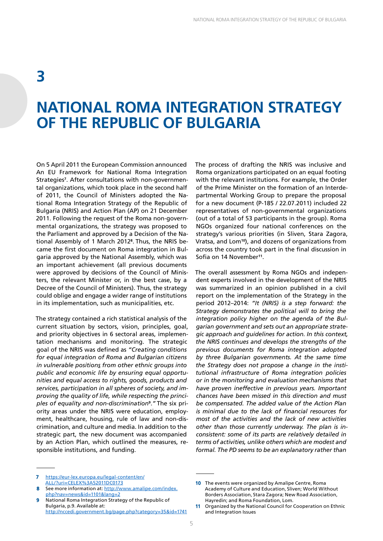### **NATIONAL ROMA INTEGRATION STRATEGY OF THE REPUBLIC OF BULGARIA**

On 5 April 2011 the European Commission announced An EU Framework for National Roma Integration Strategies**<sup>7</sup>** . After consultations with non-governmental organizations, which took place in the second half of 2011, the Council of Ministers adopted the National Roma Integration Strategy of the Republic of Bulgaria (NRIS) and Action Plan (AP) on 21 December 2011. Following the request of the Roma non-governmental organizations, the strategy was proposed to the Parliament and approved by a Decision of the National Assembly of 1 March 2012**<sup>8</sup>** . Thus, the NRIS became the first document on Roma integration in Bulgaria approved by the National Assembly, which was an important achievement (all previous documents were approved by decisions of the Council of Ministers, the relevant Minister or, in the best case, by a Decree of the Council of Ministers). Thus, the strategy could oblige and engage a wider range of institutions in its implementation, such as municipalities, etc.

The strategy contained a rich statistical analysis of the current situation by sectors, vision, principles, goal, and priority objectives in 6 sectoral areas, implementation mechanisms and monitoring. The strategic goal of the NRIS was defined as *"Creating conditions for equal integration of Roma and Bulgarian citizens in vulnerable positions from other ethnic groups into public and economic life by ensuring equal opportunities and equal access to rights, goods, products and services, participation in all spheres of society, and improving the quality of life, while respecting the principles of equality and non-discrimination***<sup>9</sup>** .*"* The six priority areas under the NRIS were education, employment, healthcare, housing, rule of law and non-discrimination, and culture and media. In addition to the strategic part, the new document was accompanied by an Action Plan, which outlined the measures, responsible institutions, and funding.

The process of drafting the NRIS was inclusive and Roma organizations participated on an equal footing with the relevant institutions. For example, the Order of the Prime Minister on the formation of an Interdepartmental Working Group to prepare the proposal for a new document (P-185 / 22.07.2011) included 22 representatives of non-governmental organizations (out of a total of 53 participants in the group). Roma NGOs organized four national conferences on the strategy's various priorities (in Sliven, Stara Zagora, Vratsa, and Lom**<sup>10</sup>**), and dozens of organizations from across the country took part in the final discussion in Sofia on 14 November**<sup>11</sup>**.

The overall assessment by Roma NGOs and independent experts involved in the development of the NRIS was summarized in an opinion published in a civil report on the implementation of the Strategy in the period 2012–2014: *"It (NRIS) is a step forward: the Strategy demonstrates the political will to bring the integration policy higher on the agenda of the Bulgarian government and sets out an appropriate strategic approach and guidelines for action. In this context, the NRIS continues and develops the strengths of the previous documents for Roma integration adopted by three Bulgarian governments. At the same time the Strategy does not propose a change in the institutional infrastructure of Roma integration policies or in the monitoring and evaluation mechanisms that have proven ineffective in previous years. Important chances have been missed in this direction and must be compensated. The added value of the Action Plan is minimal due to the lack of financial resources for most of the activities and the lack of new activities other than those currently underway. The plan is inconsistent: some of its parts are relatively detailed in terms of activities, unlike others which are modest and formal. The PD seems to be an explanatory rather than* 

- 7 [https://eur-lex.europa.eu/legal-content/en/](https://eur-lex.europa.eu/legal-content/en/ALL/?uri=CELEX%3A52011DC0173) [ALL/?uri=CELEX%3A52011DC0173](https://eur-lex.europa.eu/legal-content/en/ALL/?uri=CELEX%3A52011DC0173)
- See more information at: [http://www.amalipe.com/index.](http://www.amalipe.com/index.php?nav=news&id=1101&lang=2) [php?nav=news&id=1101&lang=2](http://www.amalipe.com/index.php?nav=news&id=1101&lang=2)
- 9 National Roma Integration Strategy of the Republic of Bulgaria, p.9. Available at: <http://nccedi.government.bg/page.php?category=35&id=1741>

<sup>10</sup> The events were organized by Amalipe Centre, Roma Academy of Culture and Education, Sliven; World Without Borders Association, Stara Zagora; New Road Association, Hayredin; and Roma Foundation, Lom.

<sup>11</sup> Organized by the National Council for Cooperation on Ethnic and Integration Issues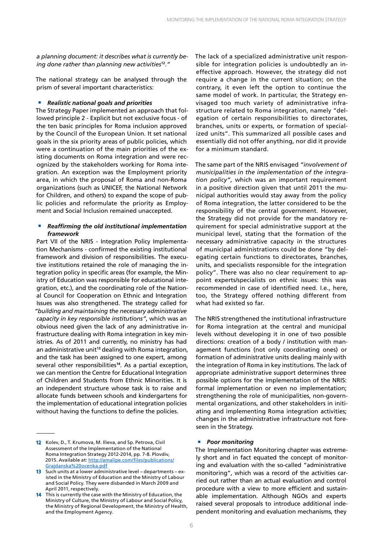*a planning document: it describes what is currently being done rather than planning new activities***<sup>12</sup>**.*"*

The national strategy can be analysed through the prism of several important characteristics:

#### ■ **Realistic national goals and priorities**

The Strategy Paper implemented an approach that followed principle 2 - Explicit but not exclusive focus - of the ten basic principles for Roma inclusion approved by the Council of the European Union. It set national goals in the six priority areas of public policies, which were a continuation of the main priorities of the existing documents on Roma integration and were recognized by the stakeholders working for Roma integration. An exception was the Employment priority area, in which the proposal of Roma and non-Roma organizations (such as UNICEF, the National Network for Children, and others) to expand the scope of public policies and reformulate the priority as Employment and Social Inclusion remained unaccepted.

#### ■ *Reaffirming the old institutional implementation framework*

Part VII of the NRIS - Integration Policy Implementation Mechanisms - confirmed the existing institutional framework and division of responsibilities. The executive institutions retained the role of managing the integration policy in specific areas (for example, the Ministry of Education was responsible for educational integration, etc.), and the coordinating role of the National Council for Cooperation on Ethnic and Integration Issues was also strengthened. The strategy called for *"building and maintaining the necessary administrative capacity in key responsible institutions"*, which was an obvious need given the lack of any administrative infrastructure dealing with Roma integration in key ministries. As of 2011 and currently, no ministry has had an administrative unit**<sup>13</sup>** dealing with Roma integration, and the task has been assigned to one expert, among several other responsibilities**<sup>14</sup>**. As a partial exception, we can mention the Centre for Educational Integration of Children and Students from Ethnic Minorities. It is an independent structure whose task is to raise and allocate funds between schools and kindergartens for the implementation of educational integration policies without having the functions to define the policies.

The lack of a specialized administrative unit responsible for integration policies is undoubtedly an ineffective approach. However, the strategy did not require a change in the current situation; on the contrary, it even left the option to continue the same model of work. In particular, the Strategy envisaged too much variety of administrative infrastructure related to Roma integration, namely "delegation of certain responsibilities to directorates, branches, units or experts, or formation of specialized units". This summarized all possible cases and essentially did not offer anything, nor did it provide for a minimum standard.

The same part of the NRIS envisaged *"involvement of municipalities in the implementation of the integration policy"*, which was an important requirement in a positive direction given that until 2011 the municipal authorities would stay away from the policy of Roma integration, the latter considered to be the responsibility of the central government. However, the Strategy did not provide for the mandatory requirement for special administrative support at the municipal level, stating that the formation of the necessary administrative capacity in the structures of municipal administrations could be done "by delegating certain functions to directorates, branches, units, and specialists responsible for the integration policy". There was also no clear requirement to appoint experts/specialists on ethnic issues: this was recommended in case of identified need. I.e., here, too, the Strategy offered nothing different from what had existed so far.

The NRIS strengthened the institutional infrastructure for Roma integration at the central and municipal levels without developing it in one of two possible directions: creation of a body / institution with management functions (not only coordinating ones) or formation of administrative units dealing mainly with the integration of Roma in key institutions. The lack of appropriate administrative support determines three possible options for the implementation of the NRIS: formal implementation or even no implementation; strengthening the role of municipalities, non-governmental organizations, and other stakeholders in initiating and implementing Roma integration activities; changes in the administrative infrastructure not foreseen in the Strategy.

#### ■ *Poor monitoring*

The Implementation Monitoring chapter was extremely short and in fact equated the concept of monitoring and evaluation with the so-called "administrative monitoring", which was a record of the activities carried out rather than an actual evaluation and control procedure with a view to more efficient and sustainable implementation. Although NGOs and experts raised several proposals to introduce additional independent monitoring and evaluation mechanisms, they

<sup>12</sup> Kolev, D., T. Krumova, M. Ilieva, and Sp. Petrova, Civil Assessment of the Implementation of the National Roma Integration Strategy 2012-2014, pp. 7-8. Plovdiv, 2015. Available at: [http://amalipe.com/files/publications/](http://amalipe.com/files/publications/Grajdanska%20ocenka.pdf) [Grajdanska%20ocenka.pdf](http://amalipe.com/files/publications/Grajdanska%20ocenka.pdf)

<sup>13</sup> Such units at a lower administrative level – departments – existed in the Ministry of Education and the Ministry of Labour and Social Policy. They were disbanded in March 2009 and April 2011, respectively.

<sup>14</sup> This is currently the case with the Ministry of Education, the Ministry of Culture, the Ministry of Labour and Social Policy, the Ministry of Regional Development, the Ministry of Health, and the Employment Agency.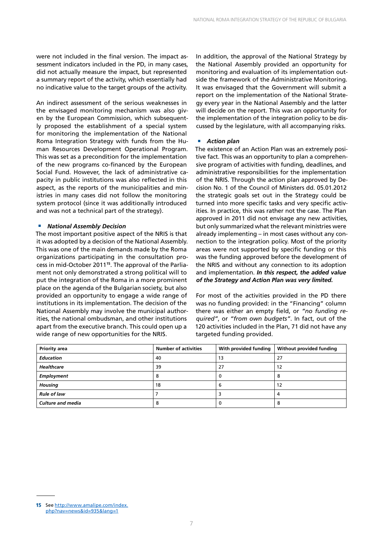were not included in the final version. The impact assessment indicators included in the PD, in many cases, did not actually measure the impact, but represented a summary report of the activity, which essentially had no indicative value to the target groups of the activity.

An indirect assessment of the serious weaknesses in the envisaged monitoring mechanism was also given by the European Commission, which subsequently proposed the establishment of a special system for monitoring the implementation of the National Roma Integration Strategy with funds from the Human Resources Development Operational Program. This was set as a precondition for the implementation of the new programs co-financed by the European Social Fund. However, the lack of administrative capacity in public institutions was also reflected in this aspect, as the reports of the municipalities and ministries in many cases did not follow the monitoring system protocol (since it was additionally introduced and was not a technical part of the strategy).

#### ■ *National Assembly Decision*

The most important positive aspect of the NRIS is that it was adopted by a decision of the National Assembly. This was one of the main demands made by the Roma organizations participating in the consultation process in mid-October 2011**15**. The approval of the Parliament not only demonstrated a strong political will to put the integration of the Roma in a more prominent place on the agenda of the Bulgarian society, but also provided an opportunity to engage a wide range of institutions in its implementation. The decision of the National Assembly may involve the municipal authorities, the national ombudsman, and other institutions apart from the executive branch. This could open up a wide range of new opportunities for the NRIS.

In addition, the approval of the National Strategy by the National Assembly provided an opportunity for monitoring and evaluation of its implementation outside the framework of the Administrative Monitoring. It was envisaged that the Government will submit a report on the implementation of the National Strategy every year in the National Assembly and the latter will decide on the report. This was an opportunity for the implementation of the integration policy to be discussed by the legislature, with all accompanying risks.

#### ■ *Action plan*

The existence of an Action Plan was an extremely positive fact. This was an opportunity to plan a comprehensive program of activities with funding, deadlines, and administrative responsibilities for the implementation of the NRIS. Through the action plan approved by Decision No. 1 of the Council of Ministers dd. 05.01.2012 the strategic goals set out in the Strategy could be turned into more specific tasks and very specific activities. In practice, this was rather not the case. The Plan approved in 2011 did not envisage any new activities, but only summarized what the relevant ministries were already implementing – in most cases without any connection to the integration policy. Most of the priority areas were not supported by specific funding or this was the funding approved before the development of the NRIS and without any connection to its adoption and implementation. *In this respect, the added value of the Strategy and Action Plan was very limited.*

For most of the activities provided in the PD there was no funding provided: in the "Financing" column there was either an empty field, or *"no funding required"*, or *"from own budgets"*. In fact, out of the 120 activities included in the Plan, 71 did not have any targeted funding provided.

| Priority area            | <b>Number of activities</b> | With provided funding | Without provided funding |
|--------------------------|-----------------------------|-----------------------|--------------------------|
| <b>Education</b>         | 40                          | 13                    | 27                       |
| Healthcare               | 39                          | 27                    | 12                       |
| Employment               |                             |                       | 8                        |
| <b>Housing</b>           | 18                          | 6                     | 12                       |
| <b>Rule of law</b>       |                             |                       | 4                        |
| <b>Culture and media</b> |                             |                       | 8                        |

15 See [http://www.amalipe.com/index.](http://www.amalipe.com/index.php?nav=news&id=935&lang=1) [php?nav=news&id=935&lang=1](http://www.amalipe.com/index.php?nav=news&id=935&lang=1)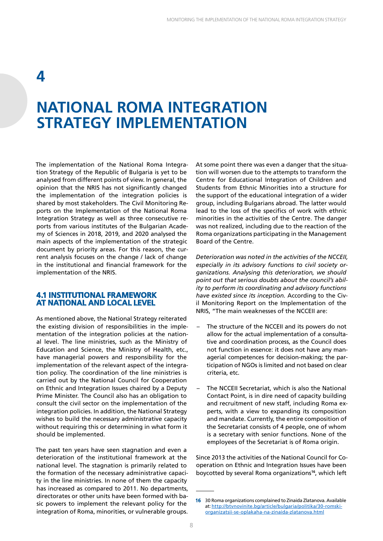### **NATIONAL ROMA INTEGRATION STRATEGY IMPLEMENTATION**

The implementation of the National Roma Integration Strategy of the Republic of Bulgaria is yet to be analysed from different points of view. In general, the opinion that the NRIS has not significantly changed the implementation of the integration policies is shared by most stakeholders. The Civil Monitoring Reports on the Implementation of the National Roma Integration Strategy as well as three consecutive reports from various institutes of the Bulgarian Academy of Sciences in 2018, 2019, and 2020 analysed the main aspects of the implementation of the strategic document by priority areas. For this reason, the current analysis focuses on the change / lack of change in the institutional and financial framework for the implementation of the NRIS.

#### **4.1 INSTITUTIONAL FRAMEWORK AT NATIONAL AND LOCAL LEVEL**

As mentioned above, the National Strategy reiterated the existing division of responsibilities in the implementation of the integration policies at the national level. The line ministries, such as the Ministry of Education and Science, the Ministry of Health, etc., have managerial powers and responsibility for the implementation of the relevant aspect of the integration policy. The coordination of the line ministries is carried out by the National Council for Cooperation on Ethnic and Integration Issues chaired by a Deputy Prime Minister. The Council also has an obligation to consult the civil sector on the implementation of the integration policies. In addition, the National Strategy wishes to build the necessary administrative capacity without requiring this or determining in what form it should be implemented.

The past ten years have seen stagnation and even a deterioration of the institutional framework at the national level. The stagnation is primarily related to the formation of the necessary administrative capacity in the line ministries. In none of them the capacity has increased as compared to 2011. No departments, directorates or other units have been formed with basic powers to implement the relevant policy for the integration of Roma, minorities, or vulnerable groups.

At some point there was even a danger that the situation will worsen due to the attempts to transform the Centre for Educational Integration of Children and Students from Ethnic Minorities into a structure for the support of the educational integration of a wider group, including Bulgarians abroad. The latter would lead to the loss of the specifics of work with ethnic minorities in the activities of the Centre. The danger was not realized, including due to the reaction of the Roma organizations participating in the Management Board of the Centre.

*Deterioration was noted in the activities of the NCCEII, especially in its advisory functions to civil society organizations. Analysing this deterioration, we should point out that serious doubts about the council's ability to perform its coordinating and advisory functions have existed since its inception.* According to the Civil Monitoring Report on the Implementation of the NRIS, "The main weaknesses of the NCCEII are:

- The structure of the NCCEII and its powers do not allow for the actual implementation of a consultative and coordination process, as the Council does not function in essence: it does not have any managerial competences for decision-making; the participation of NGOs is limited and not based on clear criteria, etc.
- The NCCEII Secretariat, which is also the National Contact Point, is in dire need of capacity building and recruitment of new staff, including Roma experts, with a view to expanding its composition and mandate. Currently, the entire composition of the Secretariat consists of 4 people, one of whom is a secretary with senior functions. None of the employees of the Secretariat is of Roma origin.

Since 2013 the activities of the National Council for Cooperation on Ethnic and Integration Issues have been boycotted by several Roma organizations**<sup>16</sup>**, which left

<sup>16</sup> 30 Roma organizations complained to Zinaida Zlatanova. Available at: [http://btvnovinite.bg/article/bulgaria/politika/30-romski](http://btvnovinite.bg/article/bulgaria/politika/30-romski-organizatsii-se-oplakaha-na-zinaida-zlatanova.html)[organizatsii-se-oplakaha-na-zinaida-zlatanova.html](http://btvnovinite.bg/article/bulgaria/politika/30-romski-organizatsii-se-oplakaha-na-zinaida-zlatanova.html)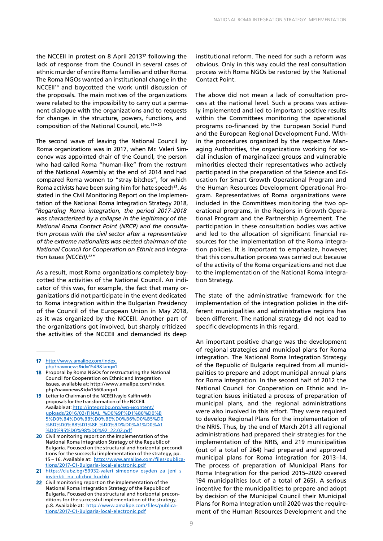the NCCEII in protest on 8 April 2013**<sup>17</sup>** following the lack of response from the Council in several cases of ethnic murder of entire Roma families and other Roma. The Roma NGOs wanted an institutional change in the NCCEII**<sup>18</sup>** and boycotted the work until discussion of the proposals. The main motives of the organizations were related to the impossibility to carry out a permanent dialogue with the organizations and to requests for changes in the structure, powers, functions, and composition of the National Council, etc.**<sup>19</sup>**"**<sup>20</sup>**

The second wave of leaving the National Council by Roma organizations was in 2017, when Mr. Valeri Simeonov was appointed chair of the Council, the person who had called Roma "human-like" from the rostrum of the National Assembly at the end of 2014 and had compared Roma women to "stray bitches", for which Roma activists have been suing him for hate speech**<sup>21</sup>**. As stated in the Civil Monitoring Report on the Implementation of the National Roma Integration Strategy 2018, *"Regarding Roma integration, the period 2017–2018 was characterized by a collapse in the legitimacy of the National Roma Contact Point (NRCP) and the consultation process with the civil sector after a representative of the extreme nationalists was elected chairman of the National Council for Cooperation on Ethnic and Integration Issues (NCCEII).***<sup>22</sup>***"*

As a result, most Roma organizations completely boycotted the activities of the National Council. An indicator of this was, for example, the fact that many organizations did not participate in the event dedicated to Roma integration within the Bulgarian Presidency of the Council of the European Union in May 2018, as it was organized by the NCCEII. Another part of the organizations got involved, but sharply criticized the activities of the NCCEII and demanded its deep

17 [http://www.amalipe.com/index.](http://www.amalipe.com/index.php?nav=news&id=1549&lang=1) [php?nav=news&id=1549&lang=1](http://www.amalipe.com/index.php?nav=news&id=1549&lang=1)

- 18 Proposal by Roma NGOs for restructuring the National Council for Cooperation on Ethnic and Integration Issues, available at: [http://www.amalipe.com/index.](http://www.amalipe.com/index.php?nav=news&id=1560lang=1) [php?nav=news&id=1560lang=1](http://www.amalipe.com/index.php?nav=news&id=1560lang=1)
- 19 Letter to Chairman of the NCEEI Ivaylo Kalfin with proposals for the transformation of the NCCEII. Available at: [http://integrobg.org/wp-иcontent/](http://integrobg.org/wp-иcontent/uploads/2016/02/FINAL_%D0%9F%D1%80%D0%B5%D0%B4%D0%BB%D0%BE%D0%B6%D0%B5%D0%BD%D0%B8%D1%8F_%D0%9D%D0%A1%D0%A1%D0%95%D0%98%D0%92_22.02.pdf) [uploads/2016/02/FINAL\\_%D0%9F%D1%80%D0%B](http://integrobg.org/wp-иcontent/uploads/2016/02/FINAL_%D0%9F%D1%80%D0%B5%D0%B4%D0%BB%D0%BE%D0%B6%D0%B5%D0%BD%D0%B8%D1%8F_%D0%9D%D0%A1%D0%A1%D0%95%D0%98%D0%92_22.02.pdf) [5%D0%B4%D0%BB%D0%BE%D0%B6%D0%B5%D0](http://integrobg.org/wp-иcontent/uploads/2016/02/FINAL_%D0%9F%D1%80%D0%B5%D0%B4%D0%BB%D0%BE%D0%B6%D0%B5%D0%BD%D0%B8%D1%8F_%D0%9D%D0%A1%D0%A1%D0%95%D0%98%D0%92_22.02.pdf) [%BD%D0%B8%D1%8F\\_%D0%9D%D0%A1%D0%A1](http://integrobg.org/wp-иcontent/uploads/2016/02/FINAL_%D0%9F%D1%80%D0%B5%D0%B4%D0%BB%D0%BE%D0%B6%D0%B5%D0%BD%D0%B8%D1%8F_%D0%9D%D0%A1%D0%A1%D0%95%D0%98%D0%92_22.02.pdf) [%D0%95%D0%98%D0%92\\_22.02.pdf](http://integrobg.org/wp-иcontent/uploads/2016/02/FINAL_%D0%9F%D1%80%D0%B5%D0%B4%D0%BB%D0%BE%D0%B6%D0%B5%D0%BD%D0%B8%D1%8F_%D0%9D%D0%A1%D0%A1%D0%95%D0%98%D0%92_22.02.pdf)
- 20 Civil monitoring report on the implementation of the National Roma Integration Strategy of the Republic of Bulgaria. Focused on the structural and horizontal preconditions for the successful implementation of the strategy, pp. 15 - 16. Available at: [http://www.amalipe.com/files/publica](http://www.amalipe.com/files/publications/2017-C1-Bulgaria-local-electronic.pdf)[tions/2017-C1-Bulgaria-local-electronic.pdf](http://www.amalipe.com/files/publications/2017-C1-Bulgaria-local-electronic.pdf)
- 21 https://clubz.bg/59932-valeri\_simeonov\_osyden\_za\_jeni\_s [instinkti\\_na\\_ulichni\\_kuchki](https://clubz.bg/59932-valeri_simeonov_osyden_za_jeni_s_instinkti_na_ulichni_kuchki)
- 22 Civil monitoring report on the implementation of the National Roma Integration Strategy of the Republic of Bulgaria. Focused on the structural and horizontal preconditions for the successful implementation of the strategy, p.8. Available at: [http://www.amalipe.com/files/publica](http://www.amalipe.com/files/publications/2017-C1-Bulgaria-local-electronic.pdf)[tions/2017-C1-Bulgaria-local-electronic.pdf](http://www.amalipe.com/files/publications/2017-C1-Bulgaria-local-electronic.pdf)

institutional reform. The need for such a reform was obvious. Only in this way could the real consultation process with Roma NGOs be restored by the National Contact Point.

The above did not mean a lack of consultation process at the national level. Such a process was actively implemented and led to important positive results within the Committees monitoring the operational programs co-financed by the European Social Fund and the European Regional Development Fund. Within the procedures organized by the respective Managing Authorities, the organizations working for social inclusion of marginalized groups and vulnerable minorities elected their representatives who actively participated in the preparation of the Science and Education for Smart Growth Operational Program and the Human Resources Development Operational Program. Representatives of Roma organizations were included in the Committees monitoring the two operational programs, in the Regions in Growth Operational Program and the Partnership Agreement. The participation in these consultation bodies was active and led to the allocation of significant financial resources for the implementation of the Roma integration policies. It is important to emphasize, however, that this consultation process was carried out because of the activity of the Roma organizations and not due to the implementation of the National Roma Integration Strategy.

The state of the administrative framework for the implementation of the integration policies in the different municipalities and administrative regions has been different. The national strategy did not lead to specific developments in this regard.

An important positive change was the development of regional strategies and municipal plans for Roma integration. The National Roma Integration Strategy of the Republic of Bulgaria required from all municipalities to prepare and adopt municipal annual plans for Roma integration. In the second half of 2012 the National Council for Cooperation on Ethnic and Integration Issues initiated a process of preparation of municipal plans, and the regional administrations were also involved in this effort. They were required to develop Regional Plans for the implementation of the NRIS. Thus, by the end of March 2013 all regional administrations had prepared their strategies for the implementation of the NRIS, and 219 municipalities (out of a total of 264) had prepared and approved municipal plans for Roma integration for 2013–14. The process of preparation of Municipal Plans for Roma Integration for the period 2015–2020 covered 194 municipalities (out of a total of 265). A serious incentive for the municipalities to prepare and adopt by decision of the Municipal Council their Municipal Plans for Roma Integration until 2020 was the requirement of the Human Resources Development and the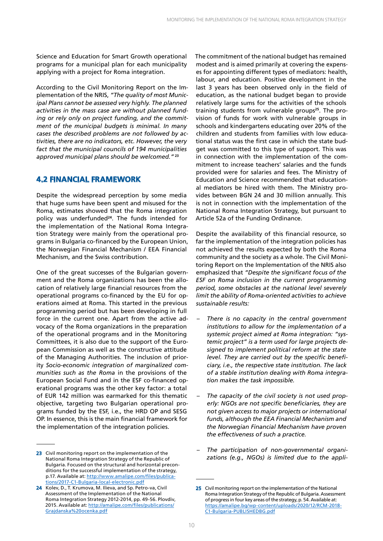Science and Education for Smart Growth operational programs for a municipal plan for each municipality applying with a project for Roma integration.

According to the Civil Monitoring Report on the Implementation of the NRIS, *"The quality of most Municipal Plans cannot be assessed very highly. The planned activities in the mass case are without planned funding or rely only on project funding, and the commitment of the municipal budgets is minimal. In many cases the described problems are not followed by activities, there are no indicators, etc. However, the very fact that the municipal councils of 194 municipalities approved municipal plans should be welcomed."* **<sup>23</sup>**

### **4.2 FINANCIAL FRAMEWORK**

Despite the widespread perception by some media that huge sums have been spent and misused for the Roma, estimates showed that the Roma integration policy was underfunded**<sup>24</sup>**. The funds intended for the implementation of the National Roma Integration Strategy were mainly from the operational programs in Bulgaria co-financed by the European Union, the Norwegian Financial Mechanism / EEA Financial Mechanism, and the Swiss contribution.

One of the great successes of the Bulgarian government and the Roma organizations has been the allocation of relatively large financial resources from the operational programs co-financed by the EU for operations aimed at Roma. This started in the previous programming period but has been developing in full force in the current one. Apart from the active advocacy of the Roma organizations in the preparation of the operational programs and in the Monitoring Committees, it is also due to the support of the European Commission as well as the constructive attitude of the Managing Authorities. The inclusion of priority *Socio-economic integration of marginalized communities such as the Roma* in the provisions of the European Social Fund and in the ESF co-financed operational programs was the other key factor: a total of EUR 142 million was earmarked for this thematic objective, targeting two Bulgarian operational programs funded by the ESF, i.e., the HRD OP and SESG OP. In essence, this is the main financial framework for the implementation of the integration policies.

The commitment of the national budget has remained modest and is aimed primarily at covering the expenses for appointing different types of mediators: health, labour, and education. Positive development in the last 3 years has been observed only in the field of education, as the national budget began to provide relatively large sums for the activities of the schools training students from vulnerable groups**25**. The provision of funds for work with vulnerable groups in schools and kindergartens educating over 20% of the children and students from families with low educational status was the first case in which the state budget was committed to this type of support. This was in connection with the implementation of the commitment to increase teachers' salaries and the funds provided were for salaries and fees. The Ministry of Education and Science recommended that educational mediators be hired with them. The Ministry provides between BGN 24 and 30 million annually. This is not in connection with the implementation of the National Roma Integration Strategy, but pursuant to Article 52a of the Funding Ordinance.

Despite the availability of this financial resource, so far the implementation of the integration policies has not achieved the results expected by both the Roma community and the society as a whole. The Civil Monitoring Report on the Implementation of the NRIS also emphasized that *"Despite the significant focus of the ESF on Roma inclusion in the current programming period, some obstacles at the national level severely limit the ability of Roma-oriented activities to achieve sustainable results:*

- *– There is no capacity in the central government institutions to allow for the implementation of a systemic project aimed at Roma integration: "systemic project" is a term used for large projects designed to implement political reform at the state level. They are carried out by the specific beneficiary, i.e., the respective state institution. The lack of a stable institution dealing with Roma integration makes the task impossible.*
- *– The capacity of the civil society is not used properly: NGOs are not specific beneficiaries, they are not given access to major projects or international funds, although the EEA Financial Mechanism and the Norwegian Financial Mechanism have proven the effectiveness of such a practice.*
- *– The participation of non-governmental organizations (e.g., NGOs) is limited due to the appli-* <sup>23</sup> Civil monitoring report on the implementation of the

National Roma Integration Strategy of the Republic of Bulgaria. Focused on the structural and horizontal preconditions for the successful implementation of the strategy, p.17. Available at: [http://www.amalipe.com/files/publica](http://www.amalipe.com/files/publications/2017-C1-Bulgaria-local-electronic.pdf)[tions/2017-C1-Bulgaria-local-electronic.pdf](http://www.amalipe.com/files/publications/2017-C1-Bulgaria-local-electronic.pdf)

<sup>24</sup> Kolev, D., T. Krumova, M. Ilieva, and Sp. Petro-va, Civil Assessment of the Implementation of the National Roma Integration Strategy 2012-2014, pp. 49-56. Plovdiv, 2015. Available at: [http://amalipe.com/files/publications/](http://amalipe.com/files/publications/Grajdanska%20ocenka.pdf) [Grajdanska%20ocenka.pdf](http://amalipe.com/files/publications/Grajdanska%20ocenka.pdf)

<sup>25</sup> Civil monitoring report on the implementation of the National Roma Integration Strategy of the Republic of Bulgaria. Assessment of progress in four key areas of the strategy, p. 54. Available at: [https://amalipe.bg/wp-content/uploads/2020/12/RCM-2018-](https://amalipe.bg/wp-content/uploads/2020/12/RCM-2018-C1-Bulgaria-PUBLISHEDBG.pdf) [C1-Bulgaria-PUBLISHEDBG.pdf](https://amalipe.bg/wp-content/uploads/2020/12/RCM-2018-C1-Bulgaria-PUBLISHEDBG.pdf)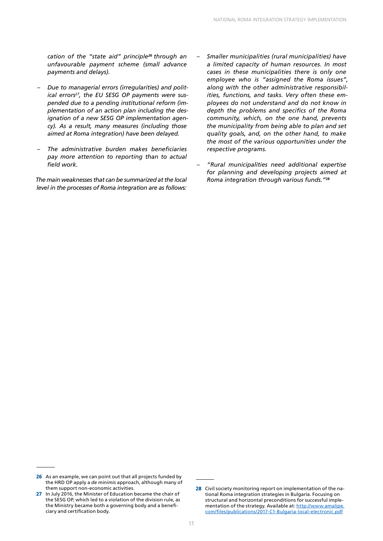*cation of the "state aid" principle<sup>26</sup> through an unfavourable payment scheme (small advance payments and delays).*

- *– Due to managerial errors (irregularities) and polit*ical errors<sup>27</sup>, the EU SESG OP payments were sus*pended due to a pending institutional reform (implementation of an action plan including the designation of a new SESG OP implementation agency). As a result, many measures (including those aimed at Roma integration) have been delayed.*
- *– The administrative burden makes beneficiaries pay more attention to reporting than to actual field work.*

*The main weaknesses that can be summarized at the local level in the processes of Roma integration are as follows:*

- *– Smaller municipalities (rural municipalities) have a limited capacity of human resources. In most cases in these municipalities there is only one employee who is "assigned the Roma issues", along with the other administrative responsibilities, functions, and tasks. Very often these employees do not understand and do not know in depth the problems and specifics of the Roma community, which, on the one hand, prevents the municipality from being able to plan and set quality goals, and, on the other hand, to make the most of the various opportunities under the respective programs.*
- *– "Rural municipalities need additional expertise for planning and developing projects aimed at Roma integration through various funds."***28**

<sup>26</sup> As an example, we can point out that all projects funded by the HRD OP apply a *de minimis* approach, although many of them support non-economic activities.

<sup>27</sup> In July 2016, the Minister of Education became the chair of the SESG OP, which led to a violation of the division rule, as the Ministry became both a governing body and a beneficiary and certification body.

<sup>28</sup> Civil society monitoring report on implementation of the national Roma integration strategies in Bulgaria. Focusing on structural and horizontal preconditions for successful implementation of the strategy. Available at: [http://www.amalipe.](http://www.amalipe.com/files/publications/2017-C1-Bulgaria-local-electronic.pdf) [com/files/publications/2017-C1-Bulgaria-local-electronic.pdf](http://www.amalipe.com/files/publications/2017-C1-Bulgaria-local-electronic.pdf)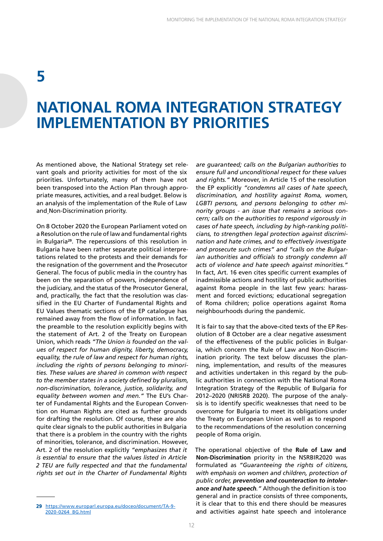### **NATIONAL ROMA INTEGRATION STRATEGY IMPLEMENTATION BY PRIORITIES**

As mentioned above, the National Strategy set relevant goals and priority activities for most of the six priorities. Unfortunately, many of them have not been transposed into the Action Plan through appropriate measures, activities, and a real budget. Below is an analysis of the implementation of the Rule of Law and Non-Discrimination priority.

On 8 October 2020 the European Parliament voted on a Resolution on the rule of law and fundamental rights in Bulgaria**<sup>29</sup>**. The repercussions of this resolution in Bulgaria have been rather separate political interpretations related to the protests and their demands for the resignation of the government and the Prosecutor General. The focus of public media in the country has been on the separation of powers, independence of the judiciary, and the status of the Prosecutor General, and, practically, the fact that the resolution was classified in the EU Charter of Fundamental Rights and EU Values thematic sections of the EP catalogue has remained away from the flow of information. In fact, the preamble to the resolution explicitly begins with the statement of Art. 2 of the Treaty on European Union, which reads *"The Union is founded on the values of respect for human dignity, liberty, democracy, equality, the rule of law and respect for human rights, including the rights of persons belonging to minorities. These values are shared in common with respect to the member states in a society defined by pluralism, non-discrimination, tolerance, justice, solidarity, and equality between women and men."* The EU's Charter of Fundamental Rights and the European Convention on Human Rights are cited as further grounds for drafting the resolution. Of course, these are also quite clear signals to the public authorities in Bulgaria that there is a problem in the country with the rights of minorities, tolerance, and discrimination. However, Art. 2 of the resolution explicitly *"emphasizes that it is essential to ensure that the values listed in Article 2 TEU are fully respected and that the fundamental rights set out in the Charter of Fundamental Rights* 

*are guaranteed; calls on the Bulgarian authorities to ensure full and unconditional respect for these values and rights."* Moreover, in Article 15 of the resolution the EP explicitly *"condemns all cases of hate speech, discrimination, and hostility against Roma, women, LGBTI persons, and persons belonging to other minority groups - an issue that remains a serious concern; calls on the authorities to respond vigorously in cases of hate speech, including by high-ranking politicians, to strengthen legal protection against discrimination and hate crimes, and to effectively investigate and prosecute such crimes" and "calls on the Bulgarian authorities and officials to strongly condemn all acts of violence and hate speech against minorities."* In fact, Art. 16 even cites specific current examples of inadmissible actions and hostility of public authorities against Roma people in the last few years: harassment and forced evictions; educational segregation of Roma children; police operations against Roma neighbourhoods during the pandemic.

It is fair to say that the above-cited texts of the EP Resolution of 8 October are a clear negative assessment of the effectiveness of the public policies in Bulgaria, which concern the Rule of Law and Non-Discrimination priority. The text below discusses the planning, implementation, and results of the measures and activities undertaken in this regard by the public authorities in connection with the National Roma Integration Strategy of the Republic of Bulgaria for 2012–2020 (NRISRB 2020). The purpose of the analysis is to identify specific weaknesses that need to be overcome for Bulgaria to meet its obligations under the Treaty on European Union as well as to respond to the recommendations of the resolution concerning people of Roma origin.

The operational objective of the **Rule of Law and Non-Discrimination** priority in the NSRBIR2020 was formulated as *"Guaranteeing the rights of citizens, with emphasis on women and children, protection of public order, prevention and counteraction to intolerance and hate speech."* Although the definition is too general and in practice consists of three components, it is clear that to this end there should be measures and activities against hate speech and intolerance

<sup>29</sup> [https://www.europarl.europa.eu/doceo/document/TA-9-](https://www.europarl.europa.eu/doceo/document/TA-9-2020-0264_BG.html) [2020-0264\\_BG.html](https://www.europarl.europa.eu/doceo/document/TA-9-2020-0264_BG.html)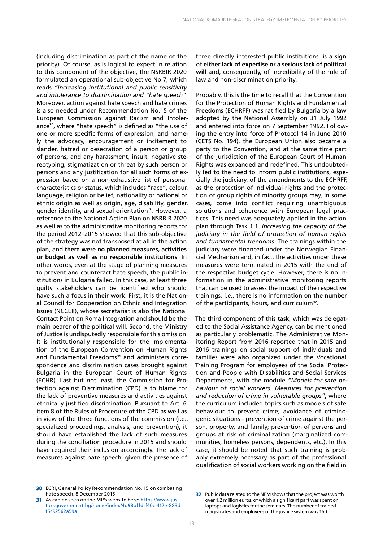(including discrimination as part of the name of the priority). Of course, as is logical to expect in relation to this component of the objective, the NSRBIR 2020 formulated an operational sub-objective No.7, which reads *"Increasing institutional and public sensitivity and intolerance to discrimination and "hate speech"*. Moreover, action against hate speech and hate crimes is also needed under Recommendation No.15 of the European Commission against Racism and Intolerance30, where "hate speech" is defined as "the use of one or more specific forms of expression, and namely the advocacy, encouragement or incitement to slander, hatred or desecration of a person or group of persons, and any harassment, insult, negative stereotyping, stigmatization or threat by such person or persons and any justification for all such forms of expression based on a non-exhaustive list of personal characteristics or status, which includes "race", colour, language, religion or belief, nationality or national or ethnic origin as well as origin, age, disability, gender, gender identity, and sexual orientation". However, a reference to the National Action Plan on NSRBIR 2020 as well as to the administrative monitoring reports for the period 2012–2015 showed that this sub-objective of the strategy was not transposed at all in the action plan, and **there were no planned measures, activities or budget as well as no responsible institutions**. In other words, even at the stage of planning measures to prevent and counteract hate speech, the public institutions in Bulgaria failed. In this case, at least three guilty stakeholders can be identified who should have such a focus in their work. First, it is the National Council for Cooperation on Ethnic and Integration Issues (NCCEII), whose secretariat is also the National Contact Point on Roma Integration and should be the main bearer of the political will. Second, the Ministry of Justice is undisputedly responsible for this omission. It is institutionally responsible for the implementation of the European Convention on Human Rights and Fundamental Freedoms**31** and administers correspondence and discrimination cases brought against Bulgaria in the European Court of Human Rights (ECHR). Last but not least, the Commission for Protection against Discrimination (CPD) is to blame for the lack of preventive measures and activities against ethnically justified discrimination. Pursuant to Art. 6, item 8 of the Rules of Procedure of the CPD as well as in view of the three functions of the commission (i.e., specialized proceedings, analysis, and prevention), it should have established the lack of such measures during the conciliation procedure in 2015 and should have required their inclusion accordingly. The lack of measures against hate speech, given the presence of

three directly interested public institutions, is a sign of **either lack of expertise or a serious lack of political will** and, consequently, of incredibility of the rule of law and non-discrimination priority.

Probably, this is the time to recall that the Convention for the Protection of Human Rights and Fundamental Freedoms (ECHRFF) was ratified by Bulgaria by a law adopted by the National Assembly on 31 July 1992 and entered into force on 7 September 1992. Following the entry into force of Protocol 14 in June 2010 (CETS No. 194), the European Union also became a party to the Convention, and at the same time part of the jurisdiction of the European Court of Human Rights was expanded and redefined. This undoubtedly led to the need to inform public institutions, especially the judiciary, of the amendments to the ECHRFF, as the protection of individual rights and the protection of group rights of minority groups may, in some cases, come into conflict requiring unambiguous solutions and coherence with European legal practices. This need was adequately applied in the action plan through Task 1.1. *Increasing the capacity of the judiciary in the field of protection of human rights and fundamental freedoms*. The trainings within the judiciary were financed under the Norwegian Financial Mechanism and, in fact, the activities under these measures were terminated in 2015 with the end of the respective budget cycle. However, there is no information in the administrative monitoring reports that can be used to assess the impact of the respective trainings, i.e., there is no information on the number of the participants, hours, and curriculum**<sup>32</sup>**.

The third component of this task, which was delegated to the Social Assistance Agency, can be mentioned as particularly problematic. The Administrative Monitoring Report from 2016 reported that in 2015 and 2016 trainings on social support of individuals and families were also organized under the Vocational Training Program for employees of the Social Protection and People with Disabilities and Social Services Departments, with the module *"Models for safe behaviour of social workers. Measures for prevention and reduction of crime in vulnerable groups"*, where the curriculum included topics such as models of safe behaviour to prevent crime; avoidance of criminogenic situations - prevention of crime against the person, property, and family; prevention of persons and groups at risk of criminalization (marginalized communities, homeless persons, dependents, etc.). In this case, it should be noted that such training is probably extremely necessary as part of the professional qualification of social workers working on the field in

<sup>30</sup> ECRI, General Policy Recommendation No. 15 on combating hate speech, 8 December 2015

<sup>31</sup> As can be seen on the MP's website here: [https://www.jus](https://www.justice.government.bg/home/index/4d98bffd-f40c-412e-883d-15c92562a59a)[tice.government.bg/home/index/4d98bffd-f40c-412e-883d-](https://www.justice.government.bg/home/index/4d98bffd-f40c-412e-883d-15c92562a59a)[15c92562a59a](https://www.justice.government.bg/home/index/4d98bffd-f40c-412e-883d-15c92562a59a)

<sup>32</sup> Public data related to the NFM shows that the project was worth over 1.2 million euros, of which a significant part was spent on laptops and logistics for the seminars. The number of trained magistrates and employees of the justice system was 150.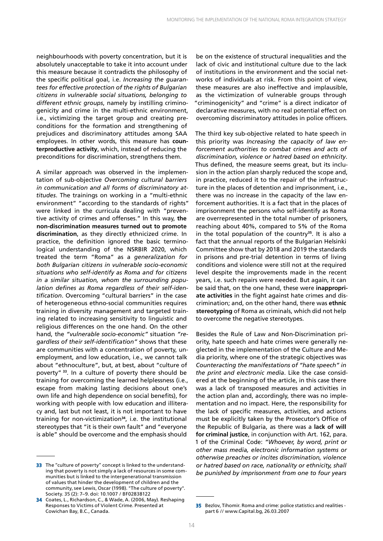neighbourhoods with poverty concentration, but it is absolutely unacceptable to take it into account under this measure because it contradicts the philosophy of the specific political goal, i.e. *Increasing the guarantees for effective protection of the rights of Bulgarian citizens in vulnerable social situations, belonging to different ethnic groups*, namely by instilling criminogenicity and crime in the multi-ethnic environment, i.e., victimizing the target group and creating preconditions for the formation and strengthening of prejudices and discriminatory attitudes among SAA employees. In other words, this measure has **counterproductive activity**, which, instead of reducing the preconditions for discrimination, strengthens them.

A similar approach was observed in the implementation of sub-objective *Overcoming cultural barriers in communication and all forms of discriminatory attitudes*. The trainings on working in a "multi-ethnic environment" "according to the standards of rights" were linked in the curricula dealing with "preventive activity of crimes and offenses." In this way, **the non-discrimination measures turned out to promote discrimination**, as they directly ethnicized crime. In practice, the definition ignored the basic terminological understanding of the NSRBIR 2020, which treated the term "Roma" as a *generalization for both Bulgarian citizens in vulnerable socio-economic situations who self-identify as Roma and for citizens in a similar situation, whom the surrounding population defines as Roma regardless of their self-identification*. Overcoming "cultural barriers" in the case of heterogeneous ethno-social communities requires training in diversity management and targeted training related to increasing sensitivity to linguistic and religious differences on the one hand. On the other hand, the *"vulnerable socio-economic"* situation *"regardless of their self-identification"* shows that these are communities with a concentration of poverty, unemployment, and low education, i.e., we cannot talk about "ethnoculture", but, at best, about "culture of poverty" **<sup>33</sup>**. In a culture of poverty there should be training for overcoming the learned helplessness (i.e., escape from making lasting decisions about one's own life and high dependence on social benefits), for working with people with low education and illiteracy and, last but not least, it is not important to have training for non-victimization**<sup>34</sup>**, i.e. the institutional stereotypes that "it is their own fault" and "everyone is able" should be overcome and the emphasis should

be on the existence of structural inequalities and the lack of civic and institutional culture due to the lack of institutions in the environment and the social networks of individuals at risk. From this point of view, these measures are also ineffective and implausible, as the victimization of vulnerable groups through "criminogenicity" and "crime" is a direct indicator of declarative measures, with no real potential effect on overcoming discriminatory attitudes in police officers.

The third key sub-objective related to hate speech in this priority was *Increasing the capacity of law enforcement authorities to combat crimes and acts of discrimination, violence or hatred based on ethnicity*. Thus defined, the measure seems great, but its inclusion in the action plan sharply reduced the scope and, in practice, reduced it to the repair of the infrastructure in the places of detention and imprisonment, i.e., there was no increase in the capacity of the law enforcement authorities. It is a fact that in the places of imprisonment the persons who self-identify as Roma are overrepresented in the total number of prisoners, reaching about 40%, compared to 5% of the Roma in the total population of the country**<sup>35</sup>**. It is also a fact that the annual reports of the Bulgarian Helsinki Committee show that by 2018 and 2019 the standards in prisons and pre-trial detention in terms of living conditions and violence were still not at the required level despite the improvements made in the recent years, i.e. such repairs were needed. But again, it can be said that, on the one hand, these were **inappropriate activities** in the fight against hate crimes and discrimination; and, on the other hand, there was **ethnic stereotyping** of Roma as criminals, which did not help to overcome the negative stereotypes.

Besides the Rule of Law and Non-Discrimination priority, hate speech and hate crimes were generally neglected in the implementation of the Culture and Media priority, where one of the strategic objectives was *Counteracting the manifestations of "hate speech" in the print and electronic media*. Like the case considered at the beginning of the article, in this case there was a lack of transposed measures and activities in the action plan and, accordingly, there was no implementation and no impact. Here, the responsibility for the lack of specific measures, activities, and actions must be explicitly taken by the Prosecutor's Office of the Republic of Bulgaria, as there was a **lack of will for criminal justice**, in conjunction with Art. 162, para. 1 of the Criminal Code: *"Whoever, by word, print or other mass media, electronic information systems or otherwise preaches or incites discrimination, violence or hatred based on race, nationality or ethnicity, shall be punished by imprisonment from one to four years* 

<sup>33</sup> The "culture of poverty" concept is linked to the understanding that poverty is not simply a lack of resources in some communities but is linked to the intergenerational transmission of values that hinder the development of children and the community, see Lewis, Oscar (1998). "The culture of poverty". Society. 35 (2): 7–9. doi: 10.1007 / BF02838122

<sup>34</sup> Coates, L., Richardson, C., & Wade, A. (2006, May). Reshaping Responses to Victims of Violent Crime. Presented at Cowichan Bay, B.C., Canada.

<sup>35</sup> Bezlov, Tihomir. Roma and crime: police statistics and realities part 6 // www.Capital.bg, 26.03.2007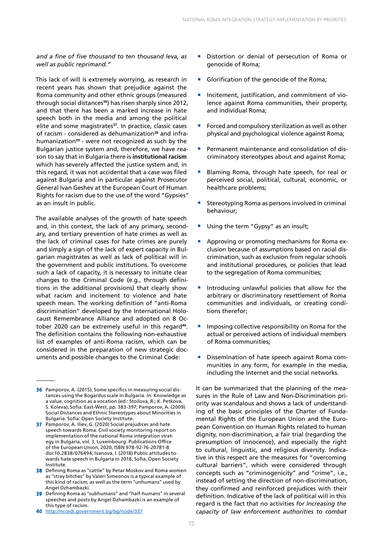*and a fine of five thousand to ten thousand leva, as well as public reprimand."*

This lack of will is extremely worrying, as research in recent years has shown that prejudice against the Roma community and other ethnic groups (measured through social distances**<sup>36</sup>**) has risen sharply since 2012, and that there has been a marked increase in hate speech both in the media and among the political elite and some magistrates**<sup>37</sup>**. In practice, classic cases of racism - considered as dehumanization**38** and infrahumanization**<sup>39</sup>** - were not recognized as such by the Bulgarian justice system and, therefore, we have reason to say that in Bulgaria there is **institutional racism** which has severely affected the justice system and, in this regard, it was not accidental that a case was filed against Bulgaria and in particular against Prosecutor General Ivan Geshev at the European Court of Human Rights for racism due to the use of the word "Gypsies" as an insult in public.

The available analyses of the growth of hate speech and, in this context, the lack of any primary, secondary, and tertiary prevention of hate crimes as well as the lack of criminal cases for hate crimes are purely and simply a sign of the lack of expert capacity in Bulgarian magistrates as well as lack of political will in the government and public institutions. To overcome such a lack of capacity, it is necessary to initiate clear changes to the Criminal Code (e.g., through definitions in the additional provisions) that clearly show what racism and incitement to violence and hate speech mean. The working definition of "anti-Roma discrimination" developed by the International Holocaust Remembrance Alliance and adopted on 8 October 2020 can be extremely useful in this regard**<sup>40</sup>**. The definition contains the following non-exhaustive list of examples of anti-Roma racism, which can be considered in the preparation of new strategic documents and possible changes to the Criminal Code:

40 <http://nccedi.government.bg/bg/node/337>

- Distortion or denial of persecution of Roma or genocide of Roma;
- Glorification of the genocide of the Roma;
- Incitement, justification, and commitment of violence against Roma communities, their property, and individual Roma;
- Forced and compulsory sterilization as well as other physical and psychological violence against Roma;
- Permanent maintenance and consolidation of discriminatory stereotypes about and against Roma;
- Blaming Roma, through hate speech, for real or perceived social, political, cultural, economic, or healthcare problems;
- Stereotyping Roma as persons involved in criminal behaviour;
- Using the term "Gypsy" as an insult;
- Approving or promoting mechanisms for Roma exclusion because of assumptions based on racial discrimination, such as exclusion from regular schools and institutional procedures, or policies that lead to the segregation of Roma communities;
- Introducing unlawful policies that allow for the arbitrary or discriminatory resettlement of Roma communities and individuals, or creating conditions therefor;
- Imposing collective responsibility on Roma for the actual or perceived actions of individual members of Roma communities;
- Dissemination of hate speech against Roma communities in any form, for example in the media, including the Internet and the social networks.

It can be summarized that the planning of the measures in the Rule of Law and Non-Discrimination priority was scandalous and shows a lack of understanding of the basic principles of the Charter of Fundamental Rights of the European Union and the European Convention on Human Rights related to human dignity, non-discrimination, a fair trial (regarding the presumption of innocence), and especially the right to cultural, linguistic, and religious diversity. Indicative in this respect are the measures for "overcoming cultural barriers", which were considered through concepts such as "criminogenicity" and "crime", i.e., instead of setting the direction of non-discrimination, they confirmed and reinforced prejudices with their definition. Indicative of the lack of political will in this regard is the fact that no activities *for Increasing the capacity of law enforcement authorities to combat* 

<sup>36</sup> Pamporov, A. (2015), Some specifics in measuring social distances using the Bogardus scale in Bulgaria. In: Knowledge as a value, cognition as a vocation (ed.: Stoilova, R.; K. Petkova, S. Koleva), Sofia: East-West, pp. 383-397; Pamporov, A. (2009) Social Distances and Ethnic Stereotypes about Minorities in Bulgaria. Sofia: Open Society Institute.

<sup>37</sup> Pamporov, A. Iliev, G. (2020) Social prejudices and hate speech towards Roma. Civil society monitoring report on implementation of the national Roma integration strategy in Bulgaria, vol. 3, Luxembourg: Publications Office of the European Union, 2020, ISBN 978-92-76-20781-8 doi:10.2838/076494; Ivanova, I. (2018) Public attitudes towards hate speech in Bulgaria in 2018, Sofia, Open Society Institute.

<sup>38</sup> Defining Roma as "cattle" by Petar Moskov and Roma women as "stray bitches" by Valeri Simeonov is a typical example of this kind of racism; as well as the term "unhumans" used by Angel Dzhambazki.

<sup>39</sup> Defining Roma as "subhumans" and "half-humans" in several speeches and posts by Angel Dzhambazki is an example of this type of racism.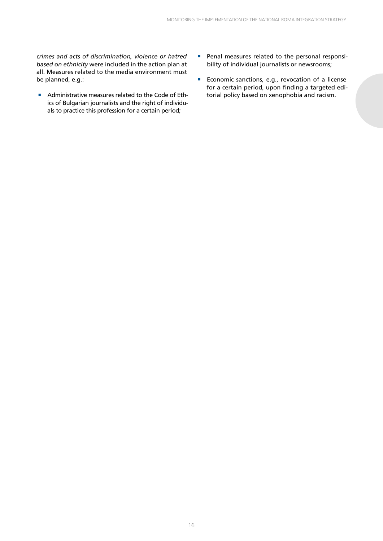*crimes and acts of discrimination, violence or hatred based on ethnicity* were included in the action plan at all. Measures related to the media environment must be planned, e.g.:

- Administrative measures related to the Code of Ethics of Bulgarian journalists and the right of individuals to practice this profession for a certain period;
- Penal measures related to the personal responsibility of individual journalists or newsrooms;
- Economic sanctions, e.g., revocation of a license for a certain period, upon finding a targeted editorial policy based on xenophobia and racism.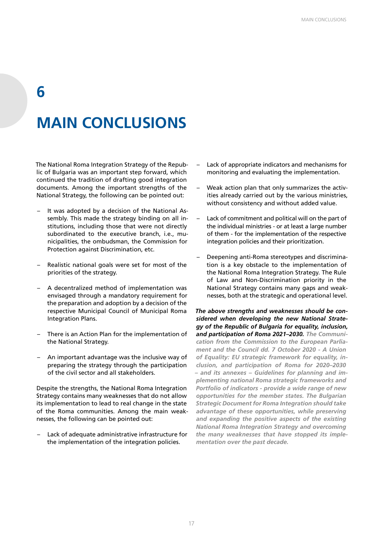# **MAIN CONCLUSIONS**

**6**

The National Roma Integration Strategy of the Republic of Bulgaria was an important step forward, which continued the tradition of drafting good integration documents. Among the important strengths of the National Strategy, the following can be pointed out:

- It was adopted by a decision of the National Assembly. This made the strategy binding on all institutions, including those that were not directly subordinated to the executive branch, i.e., municipalities, the ombudsman, the Commission for Protection against Discrimination, etc.
- Realistic national goals were set for most of the priorities of the strategy.
- A decentralized method of implementation was envisaged through a mandatory requirement for the preparation and adoption by a decision of the respective Municipal Council of Municipal Roma Integration Plans.
- There is an Action Plan for the implementation of the National Strategy.
- An important advantage was the inclusive way of preparing the strategy through the participation of the civil sector and all stakeholders.

Despite the strengths, the National Roma Integration Strategy contains many weaknesses that do not allow its implementation to lead to real change in the state of the Roma communities. Among the main weaknesses, the following can be pointed out:

– Lack of adequate administrative infrastructure for the implementation of the integration policies.

- Lack of appropriate indicators and mechanisms for monitoring and evaluating the implementation.
- Weak action plan that only summarizes the activities already carried out by the various ministries, without consistency and without added value.
- Lack of commitment and political will on the part of the individual ministries - or at least a large number of them - for the implementation of the respective integration policies and their prioritization.
- Deepening anti-Roma stereotypes and discrimination is a key obstacle to the implementation of the National Roma Integration Strategy. The Rule of Law and Non-Discrimination priority in the National Strategy contains many gaps and weaknesses, both at the strategic and operational level.

*The above strengths and weaknesses should be considered when developing the new National Strategy of the Republic of Bulgaria for equality, inclusion, and participation of Roma 2021–2030. The Communication from the Commission to the European Parliament and the Council dd. 7 October 2020 - A Union of Equality: EU strategic framework for equality, inclusion, and participation of Roma for 2020–2030 – and its annexes – Guidelines for planning and implementing national Roma strategic frameworks and Portfolio of indicators - provide a wide range of new opportunities for the member states. The Bulgarian Strategic Document for Roma Integration should take advantage of these opportunities, while preserving and expanding the positive aspects of the existing National Roma Integration Strategy and overcoming the many weaknesses that have stopped its implementation over the past decade.*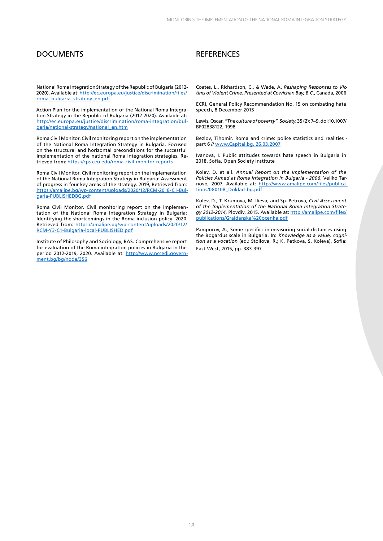### DOCUMENTS REFERENCES

National Roma Integration Strategy of the Republic of Bulgaria (2012- 2020). Available at: [http://ec.europa.eu/justice/discrimination/files/](http://ec.europa.eu/justice/discrimination/files/roma_bulgaria_strategy_en.pdf) [roma\\_bulgaria\\_strategy\\_en.pdf](http://ec.europa.eu/justice/discrimination/files/roma_bulgaria_strategy_en.pdf)

Action Plan for the implementation of the National Roma Integration Strategy in the Republic of Bulgaria (2012-2020). Available at: [http://ec.europa.eu/justice/discrimination/roma-integration/bul](http://ec.europa.eu/justice/discrimination/roma-integration/bulgaria/national-strategy/national_en.htm)[garia/national-strategy/national\\_en.htm](http://ec.europa.eu/justice/discrimination/roma-integration/bulgaria/national-strategy/national_en.htm)

Roma Civil Monitor. Civil monitoring report on the implementation of the National Roma Integration Strategy in Bulgaria. Focused on the structural and horizontal preconditions for the successful implementation of the national Roma integration strategies. Retrieved from:<https://cps.ceu.edu/roma-civil-monitor-reports>

Roma Civil Monitor. Civil monitoring report on the implementation of the National Roma Integration Strategy in Bulgaria: Assessment of progress in four key areas of the strategy. 2019, Retrieved from: [https://amalipe.bg/wp-content/uploads/2020/12/RCM-2018-C1-Bul](https://amalipe.bg/wp-content/uploads/2020/12/RCM-2018-C1-Bulgaria-PUBLISHEDBG.pdf)[garia-PUBLISHEDBG.pdf](https://amalipe.bg/wp-content/uploads/2020/12/RCM-2018-C1-Bulgaria-PUBLISHEDBG.pdf)

Roma Civil Monitor. Civil monitoring report on the implementation of the National Roma Integration Strategy in Bulgaria: Identifying the shortcomings in the Roma inclusion policy. 2020. Retrieved from: [https://amalipe.bg/wp-content/uploads/2020/12/](https://amalipe.bg/wp-content/uploads/2020/12/RCM-Y3-C1-Bulgaria-local-PUBLISHED.pdf) [RCM-Y3-C1-Bulgaria-local-PUBLISHED.pdf](https://amalipe.bg/wp-content/uploads/2020/12/RCM-Y3-C1-Bulgaria-local-PUBLISHED.pdf)

Institute of Philosophy and Sociology, BAS. Comprehensive report for evaluation of the Roma integration policies in Bulgaria in the period 2012-2019, 2020. Available at: [http://www.nccedi.govern](http://www.nccedi.government.bg/bg/node/356)[ment.bg/bg/node/356](http://www.nccedi.government.bg/bg/node/356)

Coates, L., Richardson, C., & Wade, A. *Reshaping Responses to Victims of Violent Crime. Presented at Cowichan Bay, B.C.*, Canada, 2006

ECRI, General Policy Recommendation No. 15 on combating hate speech, 8 December 2015

Lewis, Oscar. *"The culture of poverty". Society*. 35 (2): 7–9. doi:10.1007/ BF02838122, 1998

Bezlov, Tihomir. Roma and crime: police statistics and realities part 6 // <www.Capital.bg, 26.03.2007>

Ivanova, I. Public attitudes towards hate speech in Bulgaria in 2018, Sofia, Open Society Institute

Kolev, D. et all. *Annual Report on the Implementation of the Policies Aimed at Roma Integration in Bulgaria - 2006*, Veliko Tarnovo, 2007. Available at: [http://www.amalipe.com/files/publica](http://www.amalipe.com/files/publications/080108_Doklad-bg.pdf)[tions/080108\\_Doklad-bg.pdf](http://www.amalipe.com/files/publications/080108_Doklad-bg.pdf)

Kolev, D., T. Krumova, M. Ilieva, and Sp. Petrova, *Civil Assessment of the Implementation of the National Roma Integration Strategy 2012-2014*, Plovdiv, 2015. Available at: [http://amalipe.com/files/](http://amalipe.com/files/publications/Grajdanska%20ocenka.pdf) [publications/Grajdanska%20ocenka.pdf](http://amalipe.com/files/publications/Grajdanska%20ocenka.pdf)

Pamporov, A., Some specifics in measuring social distances using the Bogardus scale in Bulgaria. In: *Knowledge as a value, cognition as a vocation* (ed.: Stoilova, R.; K. Petkova, S. Koleva), Sofia: East-West, 2015, pp. 383-397.